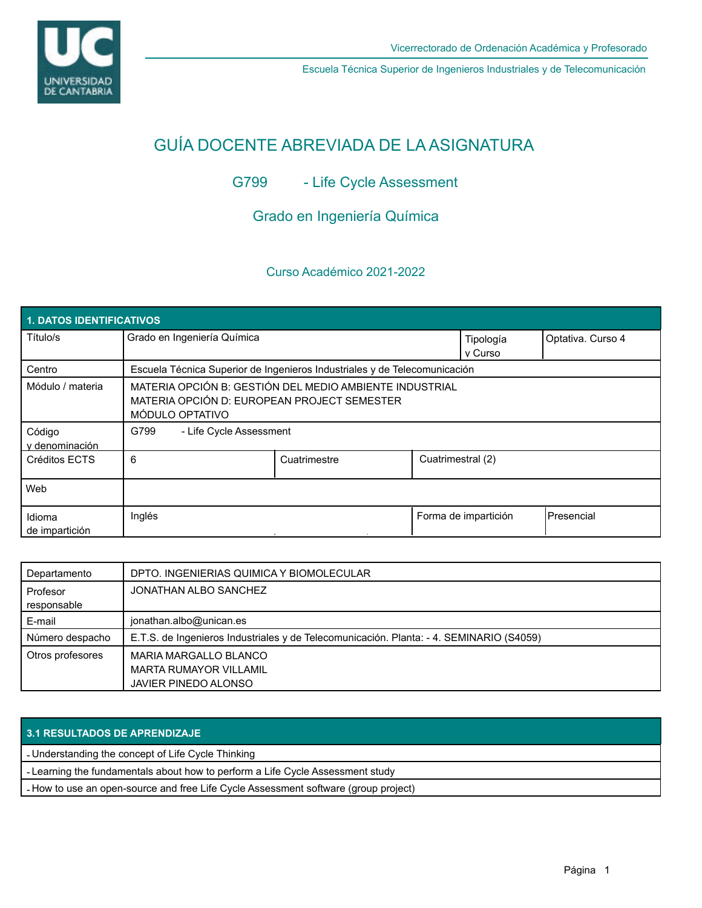

Escuela Técnica Superior de Ingenieros Industriales y de Telecomunicación

# GUÍA DOCENTE ABREVIADA DE LA ASIGNATURA

## G799 - Life Cycle Assessment

## Grado en Ingeniería Química

### Curso Académico 2021-2022

| <b>1. DATOS IDENTIFICATIVOS</b> |                                                                                                                           |              |                      |                      |                    |  |  |  |
|---------------------------------|---------------------------------------------------------------------------------------------------------------------------|--------------|----------------------|----------------------|--------------------|--|--|--|
| Título/s                        | Grado en Ingeniería Química                                                                                               |              | Tipología<br>v Curso | Optativa. Curso 4    |                    |  |  |  |
| Centro                          | Escuela Técnica Superior de Ingenieros Industriales y de Telecomunicación                                                 |              |                      |                      |                    |  |  |  |
| Módulo / materia                | MATERIA OPCIÓN B: GESTIÓN DEL MEDIO AMBIENTE INDUSTRIAL<br>MATERIA OPCIÓN D: EUROPEAN PROJECT SEMESTER<br>MÓDULO OPTATIVO |              |                      |                      |                    |  |  |  |
| Código<br>y denominación        | - Life Cycle Assessment<br>G799                                                                                           |              |                      |                      |                    |  |  |  |
| Créditos ECTS                   | 6                                                                                                                         | Cuatrimestre | Cuatrimestral (2)    |                      |                    |  |  |  |
| Web                             |                                                                                                                           |              |                      |                      |                    |  |  |  |
| Idioma<br>de impartición        | Inglés                                                                                                                    |              |                      | Forma de impartición | <b>IPresencial</b> |  |  |  |

| Departamento            | DPTO. INGENIERIAS QUIMICA Y BIOMOLECULAR                                                |  |  |
|-------------------------|-----------------------------------------------------------------------------------------|--|--|
| Profesor<br>responsable | JONATHAN ALBO SANCHEZ                                                                   |  |  |
| E-mail                  | jonathan.albo@unican.es                                                                 |  |  |
| Número despacho         | E.T.S. de Ingenieros Industriales y de Telecomunicación. Planta: - 4. SEMINARIO (S4059) |  |  |
| Otros profesores        | MARIA MARGALLO BLANCO<br><b>MARTA RUMAYOR VILLAMIL</b><br>JAVIER PINEDO ALONSO          |  |  |

#### **3.1 RESULTADOS DE APRENDIZAJE**

- Understanding the concept of Life Cycle Thinking

- Learning the fundamentals about how to perform a Life Cycle Assessment study

- How to use an open-source and free Life Cycle Assessment software (group project)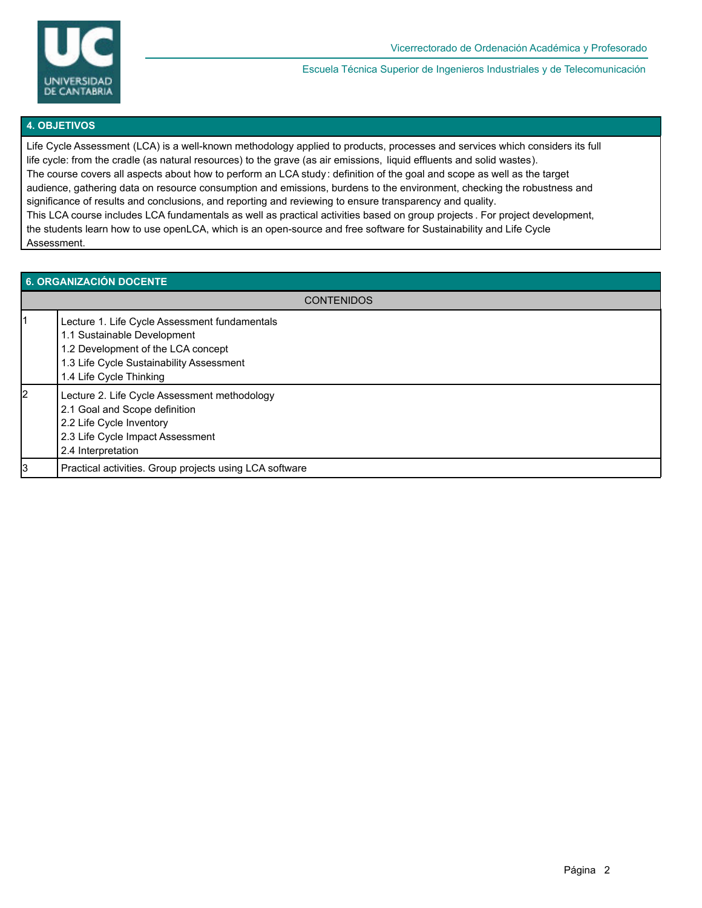

Escuela Técnica Superior de Ingenieros Industriales y de Telecomunicación

#### **4. OBJETIVOS**

Life Cycle Assessment (LCA) is a well-known methodology applied to products, processes and services which considers its full life cycle: from the cradle (as natural resources) to the grave (as air emissions, liquid effluents and solid wastes). The course covers all aspects about how to perform an LCA study: definition of the goal and scope as well as the target audience, gathering data on resource consumption and emissions, burdens to the environment, checking the robustness and significance of results and conclusions, and reporting and reviewing to ensure transparency and quality. This LCA course includes LCA fundamentals as well as practical activities based on group projects . For project development, the students learn how to use openLCA, which is an open-source and free software for Sustainability and Life Cycle Assessment.

| 6. ORGANIZACIÓN DOCENTE |                                                                                                                                                                                           |  |  |  |
|-------------------------|-------------------------------------------------------------------------------------------------------------------------------------------------------------------------------------------|--|--|--|
|                         | <b>CONTENIDOS</b>                                                                                                                                                                         |  |  |  |
|                         | Lecture 1. Life Cycle Assessment fundamentals<br>1.1 Sustainable Development<br>1.2 Development of the LCA concept<br>1.3 Life Cycle Sustainability Assessment<br>1.4 Life Cycle Thinking |  |  |  |
| 2                       | Lecture 2. Life Cycle Assessment methodology<br>2.1 Goal and Scope definition<br>2.2 Life Cycle Inventory<br>2.3 Life Cycle Impact Assessment<br>2.4 Interpretation                       |  |  |  |
| l3                      | Practical activities. Group projects using LCA software                                                                                                                                   |  |  |  |